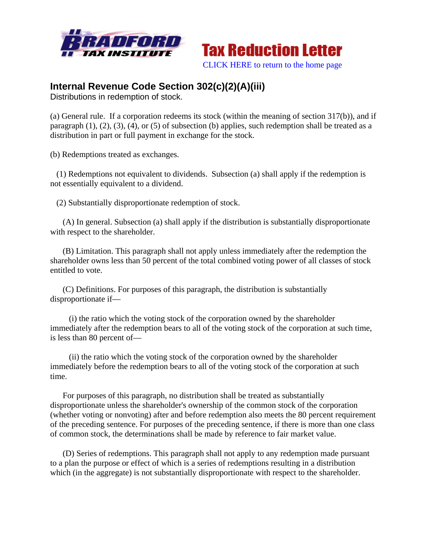



## **Internal Revenue Code Section 302(c)(2)(A)(iii)**

Distributions in redemption of stock.

(a) General rule. If a corporation redeems its stock (within the meaning of section 317(b)), and if paragraph (1), (2), (3), (4), or (5) of subsection (b) applies, such redemption shall be treated as a distribution in part or full payment in exchange for the stock.

(b) Redemptions treated as exchanges.

 (1) Redemptions not equivalent to dividends. Subsection (a) shall apply if the redemption is not essentially equivalent to a dividend.

(2) Substantially disproportionate redemption of stock.

 (A) In general. Subsection (a) shall apply if the distribution is substantially disproportionate with respect to the shareholder.

 (B) Limitation. This paragraph shall not apply unless immediately after the redemption the shareholder owns less than 50 percent of the total combined voting power of all classes of stock entitled to vote.

 (C) Definitions. For purposes of this paragraph, the distribution is substantially disproportionate if—

 (i) the ratio which the voting stock of the corporation owned by the shareholder immediately after the redemption bears to all of the voting stock of the corporation at such time, is less than 80 percent of—

 (ii) the ratio which the voting stock of the corporation owned by the shareholder immediately before the redemption bears to all of the voting stock of the corporation at such time.

 For purposes of this paragraph, no distribution shall be treated as substantially disproportionate unless the shareholder's ownership of the common stock of the corporation (whether voting or nonvoting) after and before redemption also meets the 80 percent requirement of the preceding sentence. For purposes of the preceding sentence, if there is more than one class of common stock, the determinations shall be made by reference to fair market value.

 (D) Series of redemptions. This paragraph shall not apply to any redemption made pursuant to a plan the purpose or effect of which is a series of redemptions resulting in a distribution which (in the aggregate) is not substantially disproportionate with respect to the shareholder.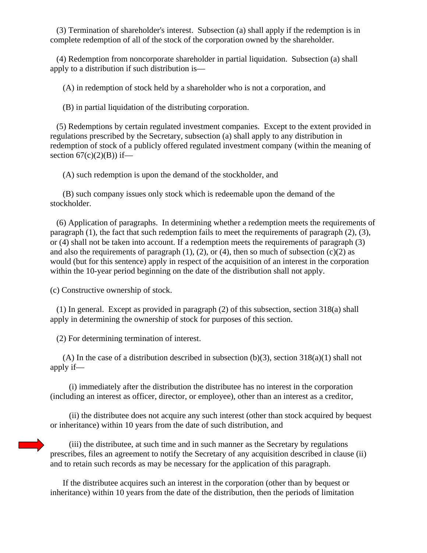(3) Termination of shareholder's interest. Subsection (a) shall apply if the redemption is in complete redemption of all of the stock of the corporation owned by the shareholder.

 (4) Redemption from noncorporate shareholder in partial liquidation. Subsection (a) shall apply to a distribution if such distribution is—

(A) in redemption of stock held by a shareholder who is not a corporation, and

(B) in partial liquidation of the distributing corporation.

 (5) Redemptions by certain regulated investment companies. Except to the extent provided in regulations prescribed by the Secretary, subsection (a) shall apply to any distribution in redemption of stock of a publicly offered regulated investment company (within the meaning of section  $67(c)(2)(B)$  if—

(A) such redemption is upon the demand of the stockholder, and

 (B) such company issues only stock which is redeemable upon the demand of the stockholder.

 (6) Application of paragraphs. In determining whether a redemption meets the requirements of paragraph  $(1)$ , the fact that such redemption fails to meet the requirements of paragraph  $(2)$ ,  $(3)$ , or (4) shall not be taken into account. If a redemption meets the requirements of paragraph (3) and also the requirements of paragraph  $(1)$ ,  $(2)$ , or  $(4)$ , then so much of subsection  $(c)(2)$  as would (but for this sentence) apply in respect of the acquisition of an interest in the corporation within the 10-year period beginning on the date of the distribution shall not apply.

(c) Constructive ownership of stock.

 (1) In general. Except as provided in paragraph (2) of this subsection, section 318(a) shall apply in determining the ownership of stock for purposes of this section.

(2) For determining termination of interest.

(A) In the case of a distribution described in subsection  $(b)(3)$ , section  $318(a)(1)$  shall not apply if—

 (i) immediately after the distribution the distributee has no interest in the corporation (including an interest as officer, director, or employee), other than an interest as a creditor,

 (ii) the distributee does not acquire any such interest (other than stock acquired by bequest or inheritance) within 10 years from the date of such distribution, and

 (iii) the distributee, at such time and in such manner as the Secretary by regulations prescribes, files an agreement to notify the Secretary of any acquisition described in clause (ii) and to retain such records as may be necessary for the application of this paragraph.

 If the distributee acquires such an interest in the corporation (other than by bequest or inheritance) within 10 years from the date of the distribution, then the periods of limitation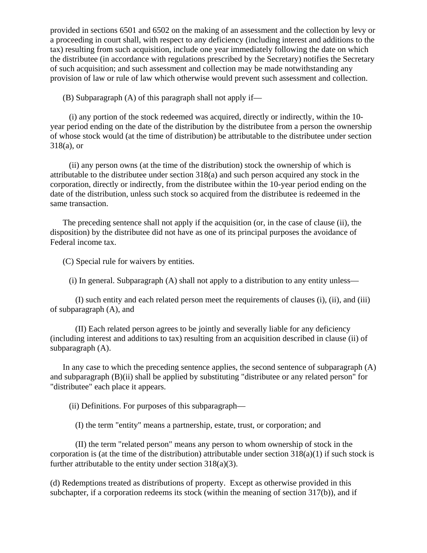provided in sections 6501 and 6502 on the making of an assessment and the collection by levy or a proceeding in court shall, with respect to any deficiency (including interest and additions to the tax) resulting from such acquisition, include one year immediately following the date on which the distributee (in accordance with regulations prescribed by the Secretary) notifies the Secretary of such acquisition; and such assessment and collection may be made notwithstanding any provision of law or rule of law which otherwise would prevent such assessment and collection.

 $(B)$  Subparagraph  $(A)$  of this paragraph shall not apply if—

 (i) any portion of the stock redeemed was acquired, directly or indirectly, within the 10 year period ending on the date of the distribution by the distributee from a person the ownership of whose stock would (at the time of distribution) be attributable to the distributee under section 318(a), or

 (ii) any person owns (at the time of the distribution) stock the ownership of which is attributable to the distributee under section 318(a) and such person acquired any stock in the corporation, directly or indirectly, from the distributee within the 10-year period ending on the date of the distribution, unless such stock so acquired from the distributee is redeemed in the same transaction.

 The preceding sentence shall not apply if the acquisition (or, in the case of clause (ii), the disposition) by the distributee did not have as one of its principal purposes the avoidance of Federal income tax.

(C) Special rule for waivers by entities.

(i) In general. Subparagraph (A) shall not apply to a distribution to any entity unless—

 (I) such entity and each related person meet the requirements of clauses (i), (ii), and (iii) of subparagraph (A), and

 (II) Each related person agrees to be jointly and severally liable for any deficiency (including interest and additions to tax) resulting from an acquisition described in clause (ii) of subparagraph (A).

 In any case to which the preceding sentence applies, the second sentence of subparagraph (A) and subparagraph (B)(ii) shall be applied by substituting "distributee or any related person" for "distributee" each place it appears.

(ii) Definitions. For purposes of this subparagraph—

(I) the term "entity" means a partnership, estate, trust, or corporation; and

 (II) the term "related person" means any person to whom ownership of stock in the corporation is (at the time of the distribution) attributable under section  $318(a)(1)$  if such stock is further attributable to the entity under section 318(a)(3).

(d) Redemptions treated as distributions of property. Except as otherwise provided in this subchapter, if a corporation redeems its stock (within the meaning of section 317(b)), and if